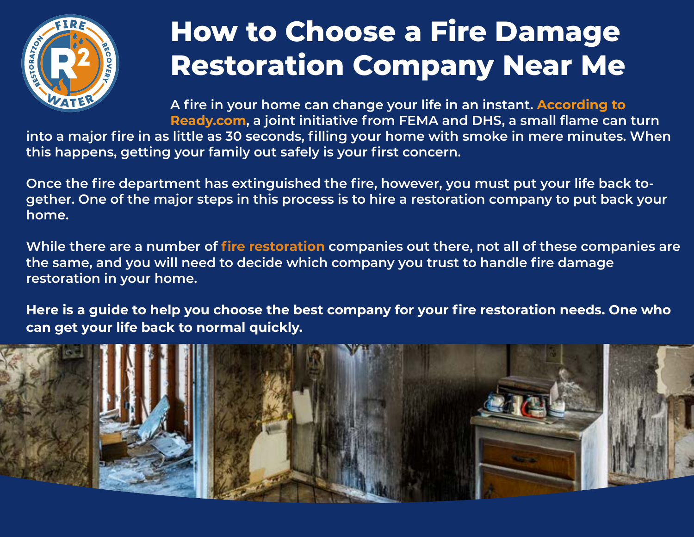

## **How to Choose a Fire Damage Restoration Company Near Me**

**A fire in your home can change your life in an instant. [According to](https://www.ready.gov/home-fires)  [Ready.com](https://www.ready.gov/home-fires), a joint initiative from FEMA and DHS, a small flame can turn** 

**into a major fire in as little as 30 seconds, filling your home with smoke in mere minutes. When this happens, getting your family out safely is your first concern.**

**Once the fire department has extinguished the fire, however, you must put your life back together. One of the major steps in this process is to hire a restoration company to put back your home.** 

**While there are a number of [fire restoration](https://r2fw.com/services/fire-and-smoke-damage-cleanup/) companies out there, not all of these companies are the same, and you will need to decide which company you trust to handle fire damage restoration in your home.** 

**Here is a guide to help you choose the best company for your fire restoration needs. One who can get your life back to normal quickly.** 

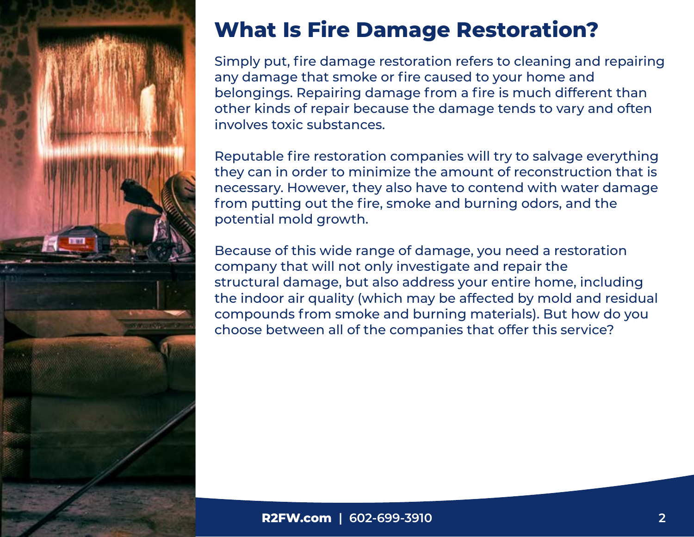

### **What Is Fire Damage Restoration?**

Simply put, fire damage restoration refers to cleaning and repairing any damage that smoke or fire caused to your home and belongings. Repairing damage from a fire is much different than other kinds of repair because the damage tends to vary and often involves toxic substances.

Reputable fire restoration companies will try to salvage everything they can in order to minimize the amount of reconstruction that is necessary. However, they also have to contend with water damage from putting out the fire, smoke and burning odors, and the potential mold growth.

Because of this wide range of damage, you need a restoration company that will not only investigate and repair the structural damage, but also address your entire home, including the indoor air quality (which may be affected by mold and residual compounds from smoke and burning materials). But how do you choose between all of the companies that offer this service?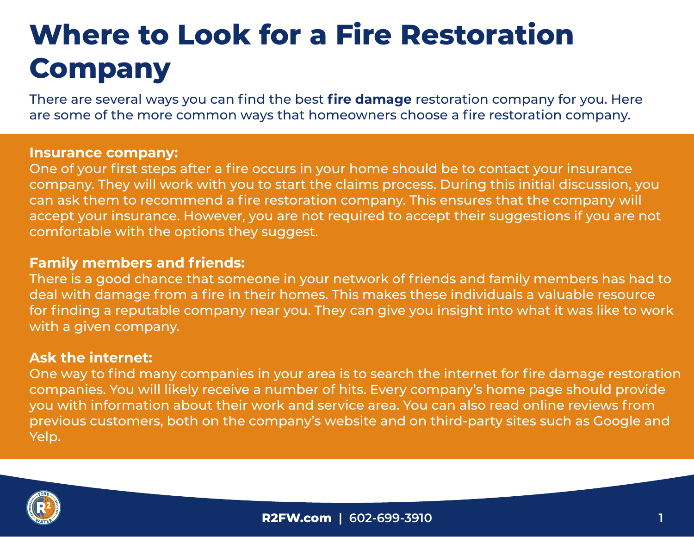# **Where to Look for a Fire Restoration Company**

There are several ways you can find the best **[fire damage](https://r2fw.com/services/fire-and-smoke-damage-cleanup/)** restoration company for you. Here are some of the more common ways that homeowners choose a fire restoration company.

#### **Insurance company:**

One of your first steps after a fire occurs in your home should be to contact your insurance company. They will work with you to start the claims process. During this initial discussion, you can ask them to recommend a fire restoration company. This ensures that the company will accept your insurance. However, you are not required to accept their suggestions if you are not comfortable with the options they suggest.

#### **Family members and friends:**

There is a good chance that someone in your network of friends and family members has had to deal with damage from a fire in their homes. This makes these individuals a valuable resource for finding a reputable company near you. They can give you insight into what it was like to work with a given company.

#### **Ask the internet:**

One way to find many companies in your area is to search the internet for fire damage restoration companies. You will likely receive a number of hits. Every company's home page should provide you with information about their work and service area. You can also read online reviews from previous customers, both on the company's website and on third-party sites such as Google and Yelp.

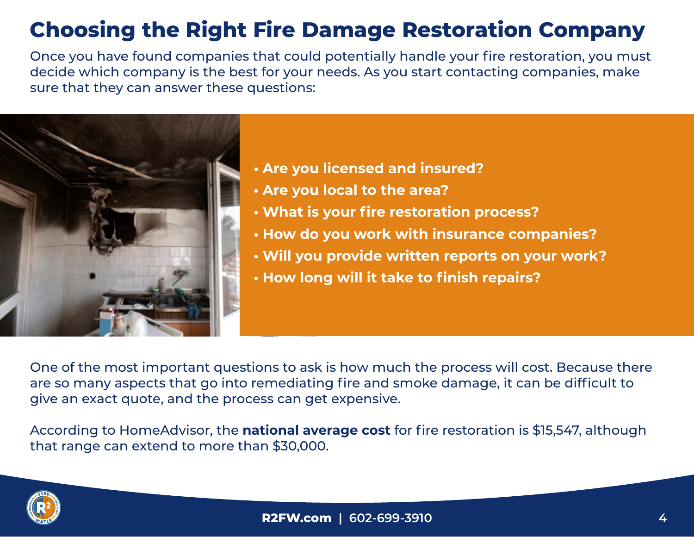### **Choosing the Right Fire Damage Restoration Company**

Once you have found companies that could potentially handle your fire restoration, you must decide which company is the best for your needs. As you start contacting companies, make sure that they can answer these questions:



- **Are you licensed and insured?**
- **Are you local to the area?**
- **What is your fire restoration process?**
- **How do you work with insurance companies?**
- **Will you provide written reports on your work?**
- **How long will it take to finish repairs?**

One of the most important questions to ask is how much the process will cost. Because there are so many aspects that go into remediating fire and smoke damage, it can be difficult to give an exact quote, and the process can get expensive.

According to HomeAdvisor, the **[national average cost](https://www.homeadvisor.com/cost/disaster-recovery/repair-fire-and-smoke-damage/)** for fire restoration is \$15,547, although that range can extend to more than \$30,000.